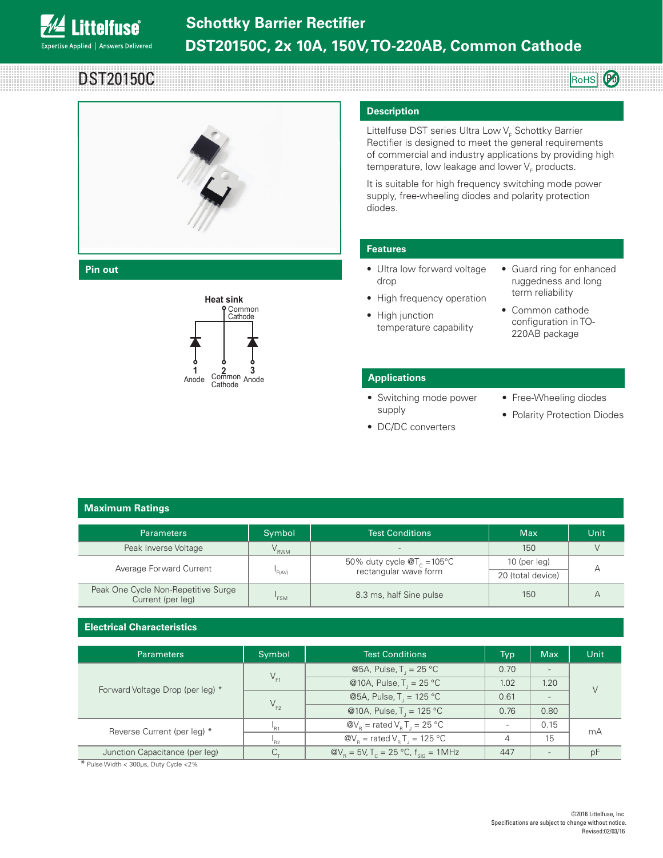

#### **Pin out**

DST20150C

**ittelfuse** 

Expertise Applied | Answers Delivered



#### **Description**

Littelfuse DST series Ultra Low V<sub>F</sub> Schottky Barrier Rectifier is designed to meet the general requirements of commercial and industry applications by providing high temperature, low leakage and lower  $\mathsf{V}_{_{\mathsf{F}}}$  products.

It is suitable for high frequency switching mode power supply, free-wheeling diodes and polarity protection diodes.

## **Features**

- Ultra low forward voltage drop
- High frequency operation
- High junction temperature capability
- Guard ring for enhanced ruggedness and long term reliability

RoHS **(Pb** 

• Common cathode configuration in TO-220AB package

#### **Applications**

- Switching mode power supply
- DC/DC converters
- Free-Wheeling diodes
- Polarity Protection Diodes

| <b>Maximum Ratings</b> |
|------------------------|
|------------------------|

| <b>Parameters</b>                                        | Symbol           | <b>Test Conditions</b>                                 | Max               | Unit |
|----------------------------------------------------------|------------------|--------------------------------------------------------|-------------------|------|
| Peak Inverse Voltage                                     | V <sub>RWM</sub> | $\overline{\phantom{a}}$                               | 150               |      |
| Average Forward Current                                  |                  | 50% duty cycle $@T_c = 105°C$<br>rectangular wave form | 10 (per $leg$ )   |      |
|                                                          | F(AV)            |                                                        | 20 (total device) |      |
| Peak One Cycle Non-Repetitive Surge<br>Current (per leg) | "FSM             | 8.3 ms, half Sine pulse                                | 150               |      |

Common

#### **Electrical Characteristics**

| <b>Parameters</b>                | Symbol   | <b>Test Conditions</b>                                                     | Typ  | <b>Max</b> | Unit |
|----------------------------------|----------|----------------------------------------------------------------------------|------|------------|------|
| Forward Voltage Drop (per leg) * | $V_{F}$  | @5A, Pulse, $T_1 = 25 °C$                                                  | 0.70 |            |      |
|                                  |          | @10A, Pulse, $T_1 = 25 °C$                                                 | 1.02 | 1.20       |      |
|                                  |          | @5A, Pulse, $T_1 = 125 °C$                                                 | 0.61 |            |      |
|                                  | $V_{F2}$ | @10A, Pulse, $T_1 = 125 °C$                                                | 0.76 | 0.80       |      |
| Reverse Current (per leg) *      | $P_{R1}$ | $\mathcal{Q}V_{\rm B}$ = rated $V_{\rm B}T_{\rm B}$ = 25 °C                |      | 0.15       | mA   |
|                                  | $n_{R2}$ | $\mathcal{Q}V_{\rm B}$ = rated $V_{\rm B}T_{\rm B}$ = 125 °C               |      | 15         |      |
| Junction Capacitance (per leg)   |          | $\omega_{\text{B}} = 5V$ , T <sub>c</sub> = 25 °C, f <sub>siG</sub> = 1MHz | 447  |            | pH   |

\* Pulse Width < 300μs, Duty Cycle <2%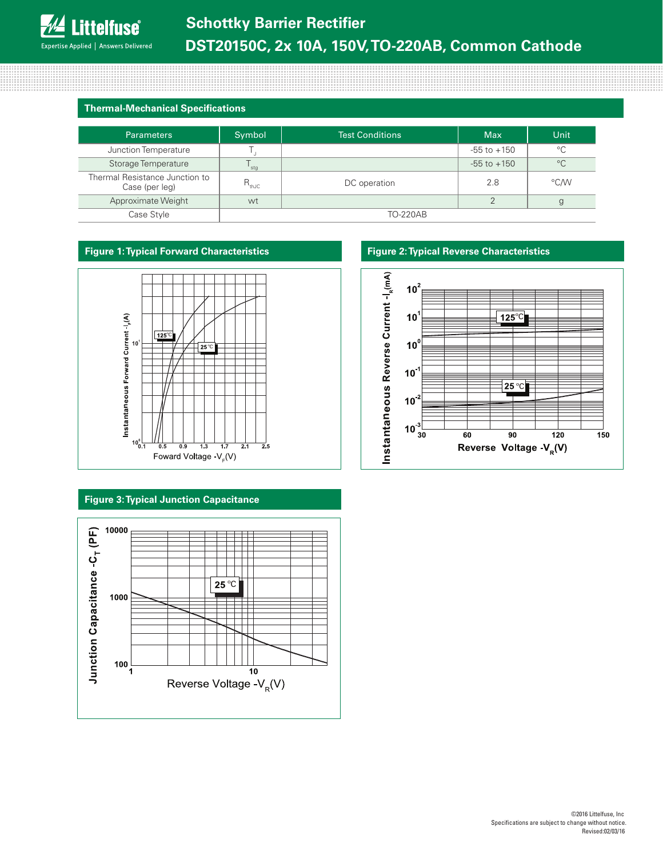#### **Thermal-Mechanical Specifications**

| <b>Parameters</b>                                | Symbol          | Test Conditions | <b>Max</b>      | Unit        |
|--------------------------------------------------|-----------------|-----------------|-----------------|-------------|
| Junction Temperature                             |                 |                 | $-55$ to $+150$ | $^{\circ}C$ |
| Storage Temperature                              | stg             |                 | $-55$ to $+150$ | $^{\circ}C$ |
| Thermal Resistance Junction to<br>Case (per leg) | $R_{thJC}$      | DC operation    | 2.8             | °C∕W        |
| Approximate Weight                               | wt              |                 |                 |             |
| Case Style                                       | <b>TO-220AB</b> |                 |                 |             |



#### **Figure 3: Typical Junction Capacitance**



#### **Figure 1: Typical Forward Characteristics Figure 2: Typical Reverse Characteristics**